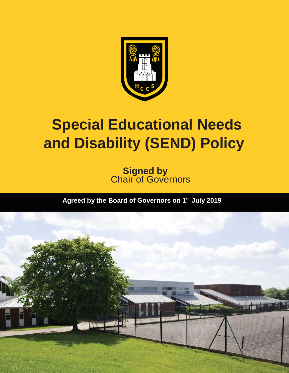

# **Special Educational Needs and Disability (SEND) Policy**

**Signed by Chair of Governors** 

**Agreed by the Board of Governors on 1 st July 2019**

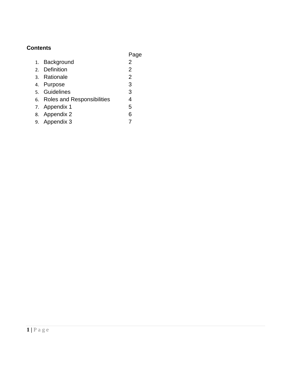## **Contents**

|  |                               | Page           |
|--|-------------------------------|----------------|
|  | 1. Background                 | 2              |
|  | 2. Definition                 | $\overline{2}$ |
|  | 3. Rationale                  | $\overline{2}$ |
|  | 4. Purpose                    | 3              |
|  | 5. Guidelines                 | 3              |
|  | 6. Roles and Responsibilities | 4              |
|  | 7. Appendix 1                 | 5              |
|  | 8. Appendix 2                 | 6              |
|  | 9. Appendix 3                 |                |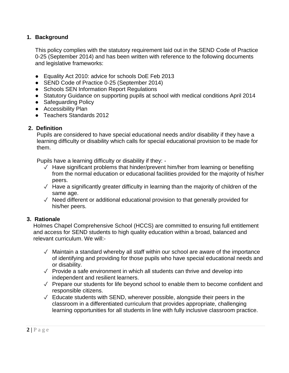#### **1. Background**

This policy complies with the statutory requirement laid out in the SEND Code of Practice 0-25 (September 2014) and has been written with reference to the following documents and legislative frameworks:

- Equality Act 2010: advice for schools DoE Feb 2013
- SEND Code of Practice 0-25 (September 2014)
- Schools SEN Information Report Regulations
- Statutory Guidance on supporting pupils at school with medical conditions April 2014
- Safeguarding Policy
- Accessibility Plan
- Teachers Standards 2012

#### **2. Definition**

Pupils are considered to have special educational needs and/or disability if they have a learning difficulty or disability which calls for special educational provision to be made for them.

Pupils have a learning difficulty or disability if they: -

- ✓ Have significant problems that hinder/prevent him/her from learning or benefiting from the normal education or educational facilities provided for the majority of his/her peers.
- $\sqrt{\phantom{a}}$  Have a significantly greater difficulty in learning than the majority of children of the same age.
- ✓ Need different or additional educational provision to that generally provided for his/her peers.

#### **3. Rationale**

Holmes Chapel Comprehensive School (HCCS) are committed to ensuring full entitlement and access for SEND students to high quality education within a broad, balanced and relevant curriculum. We will:-

- $\sqrt{ }$  Maintain a standard whereby all staff within our school are aware of the importance of identifying and providing for those pupils who have special educational needs and or disability.
- $\sqrt{ }$  Provide a safe environment in which all students can thrive and develop into independent and resilient learners.
- ✓ Prepare our students for life beyond school to enable them to become confident and responsible citizens.
- $\sqrt{\phantom{a}}$  Educate students with SEND, wherever possible, alongside their peers in the classroom in a differentiated curriculum that provides appropriate, challenging learning opportunities for all students in line with fully inclusive classroom practice.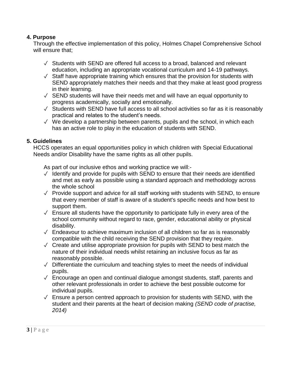#### **4. Purpose**

Through the effective implementation of this policy, Holmes Chapel Comprehensive School will ensure that;

- $\sqrt{\ }$  Students with SEND are offered full access to a broad, balanced and relevant education, including an appropriate vocational curriculum and 14-19 pathways.
- $\sqrt{\ }$  Staff have appropriate training which ensures that the provision for students with SEND appropriately matches their needs and that they make at least good progress in their learning.
- $\sqrt{\ }$  SEND students will have their needs met and will have an equal opportunity to progress academically, socially and emotionally.
- ✓ Students with SEND have full access to all school activities so far as it is reasonably practical and relates to the student's needs.
- ✓ We develop a partnership between parents, pupils and the school, in which each has an active role to play in the education of students with SEND.

#### **5. Guidelines**

HCCS operates an equal opportunities policy in which children with Special Educational Needs and/or Disability have the same rights as all other pupils.

As part of our inclusive ethos and working practice we will:-

- $\sqrt{ }$  Identify and provide for pupils with SEND to ensure that their needs are identified and met as early as possible using a standard approach and methodology across the whole school
- $\sqrt{ }$  Provide support and advice for all staff working with students with SEND, to ensure that every member of staff is aware of a student's specific needs and how best to support them.
- $\sqrt{\ }$  Ensure all students have the opportunity to participate fully in every area of the school community without regard to race, gender, educational ability or physical disability.
- $\sqrt{ }$  Endeavour to achieve maximum inclusion of all children so far as is reasonably compatible with the child receiving the SEND provision that they require.
- $\sqrt{\phantom{a}}$  Create and utilise appropriate provision for pupils with SEND to best match the nature of their individual needs whilst retaining an inclusive focus as far as reasonably possible.
- ✓ Differentiate the curriculum and teaching styles to meet the needs of individual pupils.
- ✓ Encourage an open and continual dialogue amongst students, staff, parents and other relevant professionals in order to achieve the best possible outcome for individual pupils.
- $\sqrt{\ }$  Ensure a person centred approach to provision for students with SEND, with the student and their parents at the heart of decision making *(SEND code of practise, 2014)*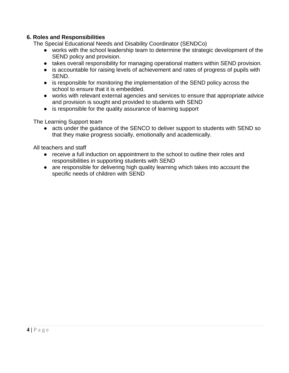#### **6. Roles and Responsibilities**

The Special Educational Needs and Disability Coordinator (SENDCo)

- works with the school leadership team to determine the strategic development of the SEND policy and provision.
- takes overall responsibility for managing operational matters within SEND provision.
- is accountable for raising levels of achievement and rates of progress of pupils with SEND.
- is responsible for monitoring the implementation of the SEND policy across the school to ensure that it is embedded.
- works with relevant external agencies and services to ensure that appropriate advice and provision is sought and provided to students with SEND
- is responsible for the quality assurance of learning support

The Learning Support team

● acts under the guidance of the SENCO to deliver support to students with SEND so that they make progress socially, emotionally and academically.

All teachers and staff

- receive a full induction on appointment to the school to outline their roles and responsibilities in supporting students with SEND
- are responsible for delivering high quality learning which takes into account the specific needs of children with SEND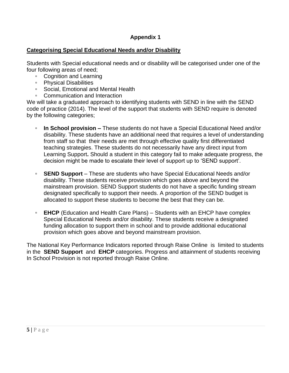## **Appendix 1**

#### **Categorising Special Educational Needs and/or Disability**

Students with Special educational needs and or disability will be categorised under one of the four following areas of need;

- Cognition and Learning
- Physical Disabilities
- Social, Emotional and Mental Health
- Communication and Interaction

We will take a graduated approach to identifying students with SEND in line with the SEND code of practice (2014). The level of the support that students with SEND require is denoted by the following categories;

- **In School provision –** These students do not have a Special Educational Need and/or disability. These students have an additional need that requires a level of understanding from staff so that their needs are met through effective quality first differentiated teaching strategies. These students do not necessarily have any direct input from Learning Support**.** Should a student in this category fail to make adequate progress, the decision might be made to escalate their level of support up to 'SEND support'.
- **SEND Support** These are students who have Special Educational Needs and/or disability. These students receive provision which goes above and beyond the mainstream provision. SEND Support students do not have a specific funding stream designated specifically to support their needs. A proportion of the SEND budget is allocated to support these students to become the best that they can be.
- **EHCP** (Education and Health Care Plans) Students with an EHCP have complex Special Educational Needs and/or disability. These students receive a designated funding allocation to support them in school and to provide additional educational provision which goes above and beyond mainstream provision.

The National Key Performance Indicators reported through Raise Online is limited to students in the **SEND Support** and **EHCP** categories. Progress and attainment of students receiving In School Provision is not reported through Raise Online.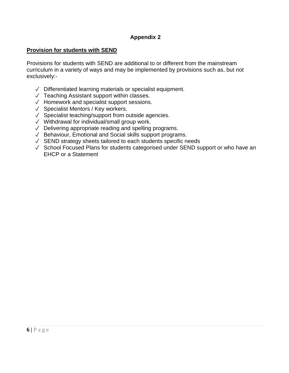## **Appendix 2**

### **Provision for students with SEND**

Provisions for students with SEND are additional to or different from the mainstream curriculum in a variety of ways and may be implemented by provisions such as, but not exclusively:-

- ✓ Differentiated learning materials or specialist equipment.
- ✓ Teaching Assistant support within classes.
- ✓ Homework and specialist support sessions.
- ✓ Specialist Mentors / Key workers.
- ✓ Specialist teaching/support from outside agencies.
- ✓ Withdrawal for individual/small group work.
- ✓ Delivering appropriate reading and spelling programs.
- ✓ Behaviour, Emotional and Social skills support programs.
- ✓ SEND strategy sheets tailored to each students specific needs
- ✓ School Focused Plans for students categorised under SEND support or who have an EHCP or a Statement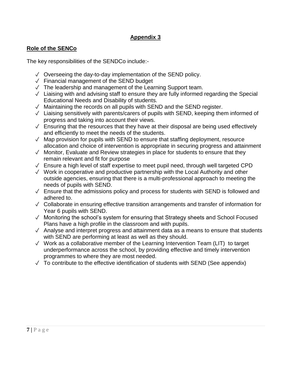## **Appendix 3**

## **Role of the SENCo**

The key responsibilities of the SENDCo include:-

- ✓ Overseeing the day-to-day implementation of the SEND policy.
- ✓ Financial management of the SEND budget
- $\sqrt{ }$  The leadership and management of the Learning Support team.
- ✓ Liaising with and advising staff to ensure they are fully informed regarding the Special Educational Needs and Disability of students.
- ✓ Maintaining the records on all pupils with SEND and the SEND register.
- ✓ Liaising sensitively with parents/carers of pupils with SEND, keeping them informed of progress and taking into account their views.
- $\sqrt{\ }$  Ensuring that the resources that they have at their disposal are being used effectively and efficiently to meet the needs of the students.
- $\sqrt{ }$  Map provision for pupils with SEND to ensure that staffing deployment, resource allocation and choice of intervention is appropriate in securing progress and attainment
- $\sqrt{ }$  Monitor, Evaluate and Review strategies in place for students to ensure that they remain relevant and fit for purpose
- $\sqrt{\ }$  Ensure a high level of staff expertise to meet pupil need, through well targeted CPD
- ✓ Work in cooperative and productive partnership with the Local Authority and other outside agencies, ensuring that there is a multi-professional approach to meeting the needs of pupils with SEND.
- $\sqrt{\ }$  Ensure that the admissions policy and process for students with SEND is followed and adhered to.
- ✓ Collaborate in ensuring effective transition arrangements and transfer of information for Year 6 pupils with SEND.
- ✓ Monitoring the school's system for ensuring that Strategy sheets and School Focused Plans have a high profile in the classroom and with pupils.
- ✓ Analyse and interpret progress and attainment data as a means to ensure that students with SEND are performing at least as well as they should.
- ✓ Work as a collaborative member of the Learning Intervention Team (LIT) to target underperformance across the school, by providing effective and timely intervention programmes to where they are most needed.
- $\sqrt{ }$  To contribute to the effective identification of students with SEND (See appendix)